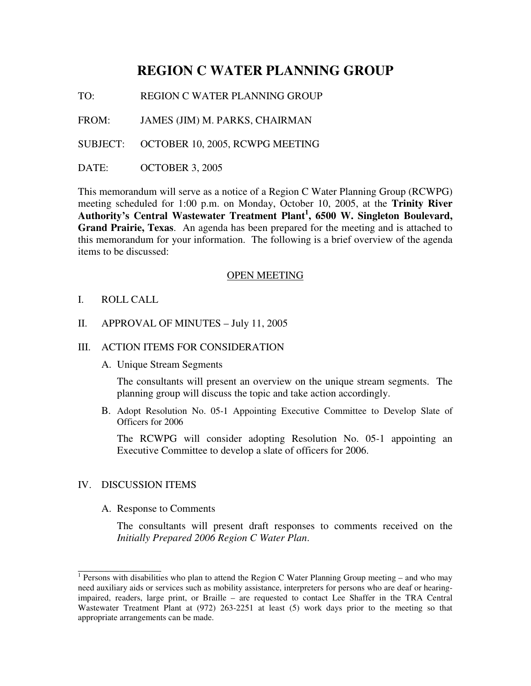# **REGION C WATER PLANNING GROUP**

TO: REGION C WATER PLANNING GROUP

FROM: JAMES (JIM) M. PARKS, CHAIRMAN

SUBJECT: OCTOBER 10, 2005, RCWPG MEETING

DATE: OCTOBER 3, 2005

This memorandum will serve as a notice of a Region C Water Planning Group (RCWPG) meeting scheduled for 1:00 p.m. on Monday, October 10, 2005, at the **Trinity River Authority's Central Wastewater Treatment Plant 1 , 6500 W. Singleton Boulevard, Grand Prairie, Texas**. An agenda has been prepared for the meeting and is attached to this memorandum for your information. The following is a brief overview of the agenda items to be discussed:

#### OPEN MEETING

I. ROLL CALL

### II. APPROVAL OF MINUTES – July 11, 2005

#### III. ACTION ITEMS FOR CONSIDERATION

A. Unique Stream Segments

The consultants will present an overview on the unique stream segments. The planning group will discuss the topic and take action accordingly.

B. Adopt Resolution No. 05-1 Appointing Executive Committee to Develop Slate of Officers for 2006

The RCWPG will consider adopting Resolution No. 05-1 appointing an Executive Committee to develop a slate of officers for 2006.

#### IV. DISCUSSION ITEMS

A. Response to Comments

The consultants will present draft responses to comments received on the *Initially Prepared 2006 Region C Water Plan*.

<sup>1&</sup>lt;br><sup>1</sup> Persons with disabilities who plan to attend the Region C Water Planning Group meeting – and who may need auxiliary aids or services such as mobility assistance, interpreters for persons who are deaf or hearingimpaired, readers, large print, or Braille – are requested to contact Lee Shaffer in the TRA Central Wastewater Treatment Plant at (972) 263-2251 at least (5) work days prior to the meeting so that appropriate arrangements can be made.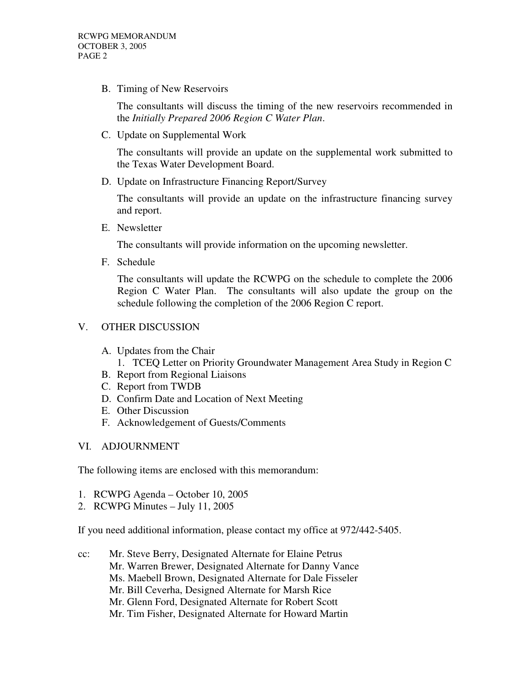B. Timing of New Reservoirs

The consultants will discuss the timing of the new reservoirs recommended in the *Initially Prepared 2006 Region C Water Plan*.

C. Update on Supplemental Work

The consultants will provide an update on the supplemental work submitted to the Texas Water Development Board.

D. Update on Infrastructure Financing Report/Survey

The consultants will provide an update on the infrastructure financing survey and report.

E. Newsletter

The consultants will provide information on the upcoming newsletter.

F. Schedule

The consultants will update the RCWPG on the schedule to complete the 2006 Region C Water Plan. The consultants will also update the group on the schedule following the completion of the 2006 Region C report.

## V. OTHER DISCUSSION

- A. Updates from the Chair
	- 1. TCEQ Letter on Priority Groundwater Management Area Study in Region C
- B. Report from Regional Liaisons
- C. Report from TWDB
- D. Confirm Date and Location of Next Meeting
- E. Other Discussion
- F. Acknowledgement of Guests/Comments
- VI. ADJOURNMENT

The following items are enclosed with this memorandum:

- 1. RCWPG Agenda October 10, 2005
- 2. RCWPG Minutes July 11, 2005

If you need additional information, please contact my office at 972/442-5405.

cc: Mr. Steve Berry, Designated Alternate for Elaine Petrus Mr. Warren Brewer, Designated Alternate for Danny Vance Ms. Maebell Brown, Designated Alternate for Dale Fisseler Mr. Bill Ceverha, Designed Alternate for Marsh Rice Mr. Glenn Ford, Designated Alternate for Robert Scott Mr. Tim Fisher, Designated Alternate for Howard Martin